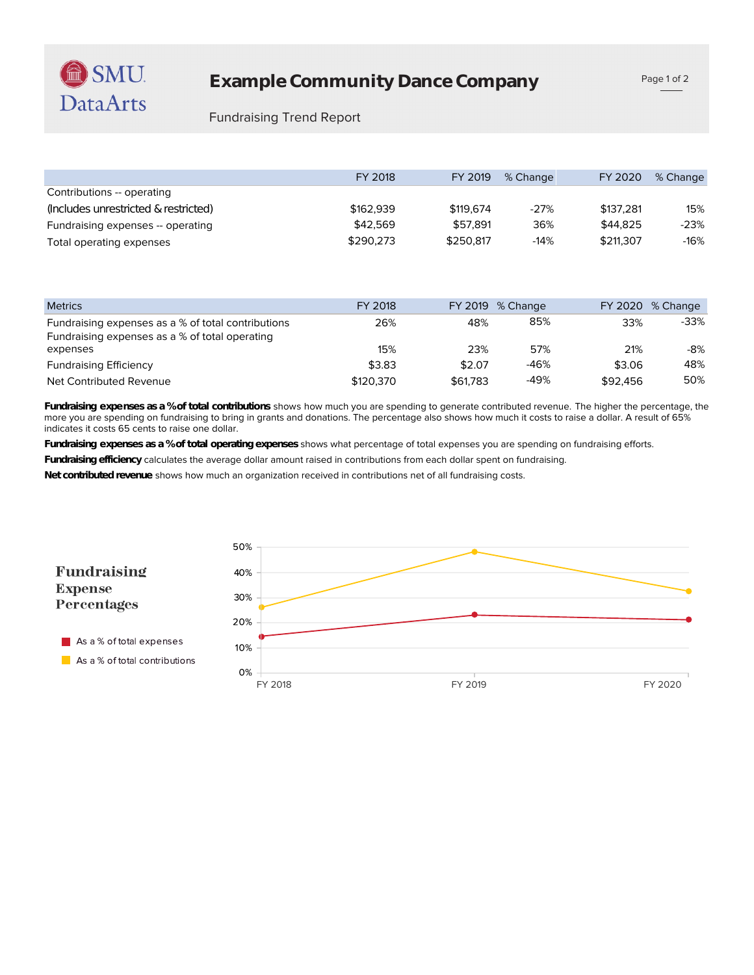## Fundraising Trend Report

|                                      | FY 2018   | FY 2019   | % Change | FY 2020   | % Change |
|--------------------------------------|-----------|-----------|----------|-----------|----------|
| Contributions -- operating           |           |           |          |           |          |
| (Includes unrestricted & restricted) | \$162,939 | \$119,674 | $-27%$   | \$137.281 | 15%      |
| Fundraising expenses -- operating    | \$42,569  | \$57.891  | 36%      | \$44.825  | $-23%$   |
| Total operating expenses             | \$290,273 | \$250.817 | $-14%$   | \$211,307 | -16%     |

| <b>Metrics</b>                                     | FY 2018   |          | FY 2019 % Change |          | FY 2020 % Change |
|----------------------------------------------------|-----------|----------|------------------|----------|------------------|
| Fundraising expenses as a % of total contributions | 26%       | 48%      | 85%              | 33%      | $-33%$           |
| Fundraising expenses as a % of total operating     |           |          |                  |          |                  |
| expenses                                           | 15%       | 23%      | 57%              | 21%      | -8%              |
| <b>Fundraising Efficiency</b>                      | \$3.83    | \$2.07   | -46%             | \$3.06   | 48%              |
| Net Contributed Revenue                            | \$120.370 | \$61,783 | -49%             | \$92,456 | 50%              |

indicates it costs 65 cents to raise one dollar. more you are spending on fundraising to bring in grants and donations. The percentage also shows how much it costs to raise a dollar. A result of 65% **Fundraising expenses as a % of total contributions** shows how much you are spending to generate contributed revenue. The higher the percentage, the

**Fundraising expenses as a % of total operating expenses** shows what percentage of total expenses you are spending on fundraising efforts.

**Fundraising efficiency** calculates the average dollar amount raised in contributions from each dollar spent on fundraising.

**Net contributed revenue** shows how much an organization received in contributions net of all fundraising costs.